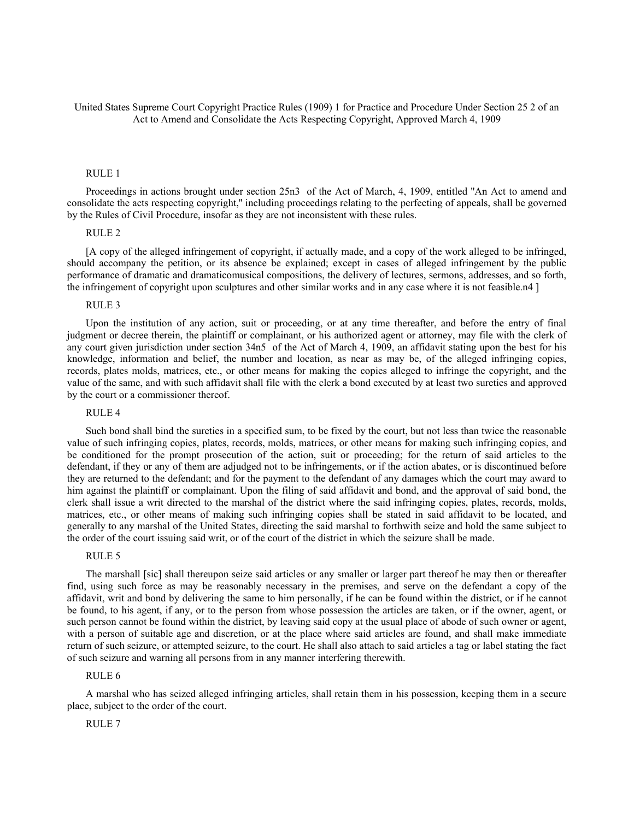United States Supreme Court Copyright Practice Rules (1909) 1 for Practice and Procedure Under Section 25 2 of an Act to Amend and Consolidate the Acts Respecting Copyright, Approved March 4, 1909

### RULE 1

Proceedings in actions brought under section 25n3 of the Act of March, 4, 1909, entitled ''An Act to amend and consolidate the acts respecting copyright,'' including proceedings relating to the perfecting of appeals, shall be governed by the Rules of Civil Procedure, insofar as they are not inconsistent with these rules.

## RULE 2

[A copy of the alleged infringement of copyright, if actually made, and a copy of the work alleged to be infringed, should accompany the petition, or its absence be explained; except in cases of alleged infringement by the public performance of dramatic and dramaticomusical compositions, the delivery of lectures, sermons, addresses, and so forth, the infringement of copyright upon sculptures and other similar works and in any case where it is not feasible.n4 ]

### RULE 3

Upon the institution of any action, suit or proceeding, or at any time thereafter, and before the entry of final judgment or decree therein, the plaintiff or complainant, or his authorized agent or attorney, may file with the clerk of any court given jurisdiction under section 34n5 of the Act of March 4, 1909, an affidavit stating upon the best for his knowledge, information and belief, the number and location, as near as may be, of the alleged infringing copies, records, plates molds, matrices, etc., or other means for making the copies alleged to infringe the copyright, and the value of the same, and with such affidavit shall file with the clerk a bond executed by at least two sureties and approved by the court or a commissioner thereof.

## RULE 4

Such bond shall bind the sureties in a specified sum, to be fixed by the court, but not less than twice the reasonable value of such infringing copies, plates, records, molds, matrices, or other means for making such infringing copies, and be conditioned for the prompt prosecution of the action, suit or proceeding; for the return of said articles to the defendant, if they or any of them are adjudged not to be infringements, or if the action abates, or is discontinued before they are returned to the defendant; and for the payment to the defendant of any damages which the court may award to him against the plaintiff or complainant. Upon the filing of said affidavit and bond, and the approval of said bond, the clerk shall issue a writ directed to the marshal of the district where the said infringing copies, plates, records, molds, matrices, etc., or other means of making such infringing copies shall be stated in said affidavit to be located, and generally to any marshal of the United States, directing the said marshal to forthwith seize and hold the same subject to the order of the court issuing said writ, or of the court of the district in which the seizure shall be made.

#### RULE 5

The marshall [sic] shall thereupon seize said articles or any smaller or larger part thereof he may then or thereafter find, using such force as may be reasonably necessary in the premises, and serve on the defendant a copy of the affidavit, writ and bond by delivering the same to him personally, if he can be found within the district, or if he cannot be found, to his agent, if any, or to the person from whose possession the articles are taken, or if the owner, agent, or such person cannot be found within the district, by leaving said copy at the usual place of abode of such owner or agent, with a person of suitable age and discretion, or at the place where said articles are found, and shall make immediate return of such seizure, or attempted seizure, to the court. He shall also attach to said articles a tag or label stating the fact of such seizure and warning all persons from in any manner interfering therewith.

### RULE 6

A marshal who has seized alleged infringing articles, shall retain them in his possession, keeping them in a secure place, subject to the order of the court.

### RULE 7